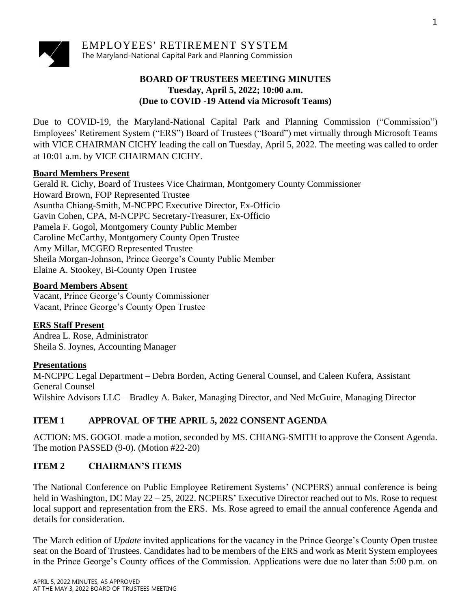

The Maryland-National Capital Park and Planning Commission

### **BOARD OF TRUSTEES MEETING MINUTES Tuesday, April 5, 2022; 10:00 a.m. (Due to COVID -19 Attend via Microsoft Teams)**

Due to COVID-19, the Maryland-National Capital Park and Planning Commission ("Commission") Employees' Retirement System ("ERS") Board of Trustees ("Board") met virtually through Microsoft Teams with VICE CHAIRMAN CICHY leading the call on Tuesday, April 5, 2022. The meeting was called to order at 10:01 a.m. by VICE CHAIRMAN CICHY.

#### **Board Members Present**

Gerald R. Cichy, Board of Trustees Vice Chairman, Montgomery County Commissioner Howard Brown, FOP Represented Trustee Asuntha Chiang-Smith, M-NCPPC Executive Director, Ex-Officio Gavin Cohen, CPA, M-NCPPC Secretary-Treasurer, Ex-Officio Pamela F. Gogol, Montgomery County Public Member Caroline McCarthy, Montgomery County Open Trustee Amy Millar, MCGEO Represented Trustee Sheila Morgan-Johnson, Prince George's County Public Member Elaine A. Stookey, Bi-County Open Trustee

#### **Board Members Absent**

Vacant, Prince George's County Commissioner Vacant, Prince George's County Open Trustee

### **ERS Staff Present**

Andrea L. Rose, Administrator Sheila S. Joynes, Accounting Manager

#### **Presentations**

M-NCPPC Legal Department – Debra Borden, Acting General Counsel, and Caleen Kufera, Assistant General Counsel Wilshire Advisors LLC – Bradley A. Baker, Managing Director, and Ned McGuire, Managing Director

# **ITEM 1 APPROVAL OF THE APRIL 5, 2022 CONSENT AGENDA**

ACTION: MS. GOGOL made a motion, seconded by MS. CHIANG-SMITH to approve the Consent Agenda. The motion PASSED (9-0). (Motion #22-20)

### **ITEM 2 CHAIRMAN'S ITEMS**

The National Conference on Public Employee Retirement Systems' (NCPERS) annual conference is being held in Washington, DC May 22 – 25, 2022. NCPERS' Executive Director reached out to Ms. Rose to request local support and representation from the ERS. Ms. Rose agreed to email the annual conference Agenda and details for consideration.

The March edition of *Update* invited applications for the vacancy in the Prince George's County Open trustee seat on the Board of Trustees. Candidates had to be members of the ERS and work as Merit System employees in the Prince George's County offices of the Commission. Applications were due no later than 5:00 p.m. on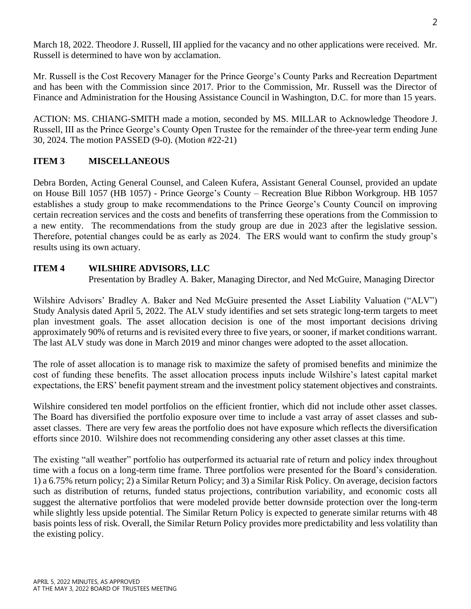March 18, 2022. Theodore J. Russell, III applied for the vacancy and no other applications were received. Mr. Russell is determined to have won by acclamation.

Mr. Russell is the Cost Recovery Manager for the Prince George's County Parks and Recreation Department and has been with the Commission since 2017. Prior to the Commission, Mr. Russell was the Director of Finance and Administration for the Housing Assistance Council in Washington, D.C. for more than 15 years.

ACTION: MS. CHIANG-SMITH made a motion, seconded by MS. MILLAR to Acknowledge Theodore J. Russell, III as the Prince George's County Open Trustee for the remainder of the three-year term ending June 30, 2024. The motion PASSED (9-0). (Motion #22-21)

# **ITEM 3 MISCELLANEOUS**

Debra Borden, Acting General Counsel, and Caleen Kufera, Assistant General Counsel, provided an update on House Bill 1057 (HB 1057) - Prince George's County – Recreation Blue Ribbon Workgroup. HB 1057 establishes a study group to make recommendations to the Prince George's County Council on improving certain recreation services and the costs and benefits of transferring these operations from the Commission to a new entity. The recommendations from the study group are due in 2023 after the legislative session. Therefore, potential changes could be as early as 2024. The ERS would want to confirm the study group's results using its own actuary.

# **ITEM 4 WILSHIRE ADVISORS, LLC**

Presentation by Bradley A. Baker, Managing Director, and Ned McGuire, Managing Director

Wilshire Advisors' Bradley A. Baker and Ned McGuire presented the Asset Liability Valuation ("ALV") Study Analysis dated April 5, 2022. The ALV study identifies and set sets strategic long-term targets to meet plan investment goals. The asset allocation decision is one of the most important decisions driving approximately 90% of returns and is revisited every three to five years, or sooner, if market conditions warrant. The last ALV study was done in March 2019 and minor changes were adopted to the asset allocation.

The role of asset allocation is to manage risk to maximize the safety of promised benefits and minimize the cost of funding these benefits. The asset allocation process inputs include Wilshire's latest capital market expectations, the ERS' benefit payment stream and the investment policy statement objectives and constraints.

Wilshire considered ten model portfolios on the efficient frontier, which did not include other asset classes. The Board has diversified the portfolio exposure over time to include a vast array of asset classes and subasset classes. There are very few areas the portfolio does not have exposure which reflects the diversification efforts since 2010. Wilshire does not recommending considering any other asset classes at this time.

The existing "all weather" portfolio has outperformed its actuarial rate of return and policy index throughout time with a focus on a long-term time frame. Three portfolios were presented for the Board's consideration. 1) a 6.75% return policy; 2) a Similar Return Policy; and 3) a Similar Risk Policy. On average, decision factors such as distribution of returns, funded status projections, contribution variability, and economic costs all suggest the alternative portfolios that were modeled provide better downside protection over the long-term while slightly less upside potential. The Similar Return Policy is expected to generate similar returns with 48 basis points less of risk. Overall, the Similar Return Policy provides more predictability and less volatility than the existing policy.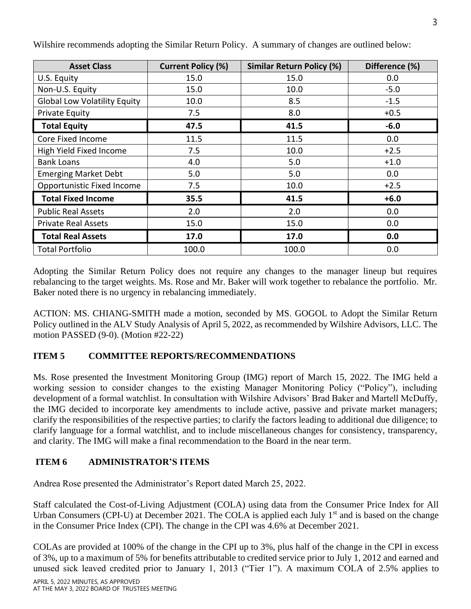| <b>Asset Class</b>                  | <b>Current Policy (%)</b> | <b>Similar Return Policy (%)</b> | Difference (%) |
|-------------------------------------|---------------------------|----------------------------------|----------------|
| U.S. Equity                         | 15.0                      | 15.0                             | 0.0            |
| Non-U.S. Equity                     | 15.0                      | 10.0                             | $-5.0$         |
| <b>Global Low Volatility Equity</b> | 10.0                      | 8.5                              | $-1.5$         |
| <b>Private Equity</b>               | 7.5                       | 8.0                              | $+0.5$         |
| <b>Total Equity</b>                 | 47.5                      | 41.5                             | $-6.0$         |
| Core Fixed Income                   | 11.5                      | 11.5                             | 0.0            |
| High Yield Fixed Income             | 7.5                       | 10.0                             | $+2.5$         |
| <b>Bank Loans</b>                   | 4.0                       | 5.0                              | $+1.0$         |
| <b>Emerging Market Debt</b>         | 5.0                       | 5.0                              | 0.0            |
| Opportunistic Fixed Income          | 7.5                       | 10.0                             | $+2.5$         |
| <b>Total Fixed Income</b>           | 35.5                      | 41.5                             | $+6.0$         |
| <b>Public Real Assets</b>           | 2.0                       | 2.0                              | 0.0            |
| <b>Private Real Assets</b>          | 15.0                      | 15.0                             | 0.0            |
| <b>Total Real Assets</b>            | 17.0                      | 17.0                             | 0.0            |
| <b>Total Portfolio</b>              | 100.0                     | 100.0                            | 0.0            |

Wilshire recommends adopting the Similar Return Policy. A summary of changes are outlined below:

Adopting the Similar Return Policy does not require any changes to the manager lineup but requires rebalancing to the target weights. Ms. Rose and Mr. Baker will work together to rebalance the portfolio. Mr. Baker noted there is no urgency in rebalancing immediately.

ACTION: MS. CHIANG-SMITH made a motion, seconded by MS. GOGOL to Adopt the Similar Return Policy outlined in the ALV Study Analysis of April 5, 2022, as recommended by Wilshire Advisors, LLC. The motion PASSED (9-0). (Motion #22-22)

#### **ITEM 5 COMMITTEE REPORTS/RECOMMENDATIONS**

Ms. Rose presented the Investment Monitoring Group (IMG) report of March 15, 2022. The IMG held a working session to consider changes to the existing Manager Monitoring Policy ("Policy"), including development of a formal watchlist. In consultation with Wilshire Advisors' Brad Baker and Martell McDuffy, the IMG decided to incorporate key amendments to include active, passive and private market managers; clarify the responsibilities of the respective parties; to clarify the factors leading to additional due diligence; to clarify language for a formal watchlist, and to include miscellaneous changes for consistency, transparency, and clarity. The IMG will make a final recommendation to the Board in the near term.

#### **ITEM 6 ADMINISTRATOR'S ITEMS**

Andrea Rose presented the Administrator's Report dated March 25, 2022.

Staff calculated the Cost-of-Living Adjustment (COLA) using data from the Consumer Price Index for All Urban Consumers (CPI-U) at December 2021. The COLA is applied each July  $1<sup>st</sup>$  and is based on the change in the Consumer Price Index (CPI). The change in the CPI was 4.6% at December 2021.

COLAs are provided at 100% of the change in the CPI up to 3%, plus half of the change in the CPI in excess of 3%, up to a maximum of 5% for benefits attributable to credited service prior to July 1, 2012 and earned and unused sick leaved credited prior to January 1, 2013 ("Tier 1"). A maximum COLA of 2.5% applies to